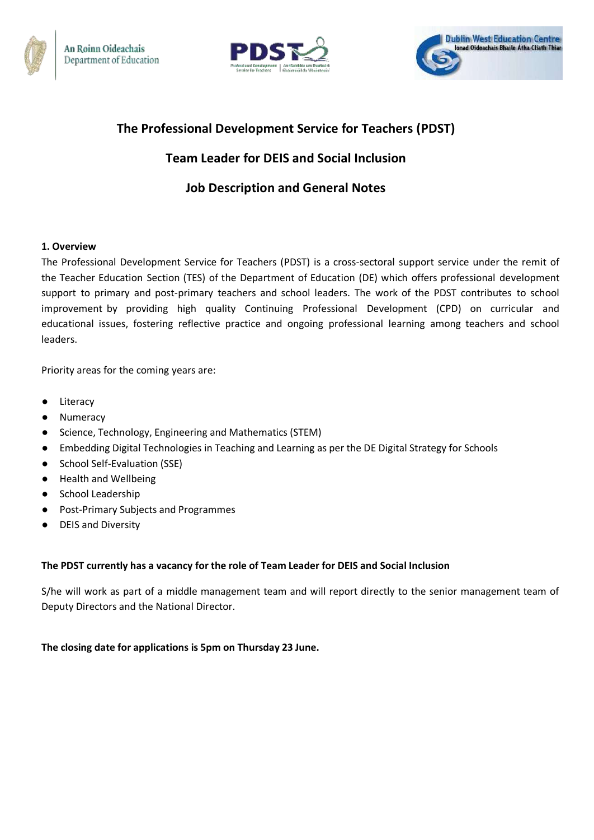





# **The Professional Development Service for Teachers (PDST)**

# **Team Leader for DEIS and Social Inclusion**

# **Job Description and General Notes**

# **1. Overview**

The Professional Development Service for Teachers (PDST) is a cross-sectoral support service under the remit of the Teacher Education Section (TES) of the Department of Education (DE) which offers professional development support to primary and post-primary teachers and school leaders. The work of the PDST contributes to school improvement by providing high quality Continuing Professional Development (CPD) on curricular and educational issues, fostering reflective practice and ongoing professional learning among teachers and school leaders.

Priority areas for the coming years are:

- Literacy
- Numeracy
- Science, Technology, Engineering and Mathematics (STEM)
- Embedding Digital Technologies in Teaching and Learning as per the DE Digital Strategy for Schools
- School Self-Evaluation (SSE)
- Health and Wellbeing
- School Leadership
- Post-Primary Subjects and Programmes
- DEIS and Diversity

# **The PDST currently has a vacancy for the role of Team Leader for DEIS and Social Inclusion**

S/he will work as part of a middle management team and will report directly to the senior management team of Deputy Directors and the National Director.

# **The closing date for applications is 5pm on Thursday 23 June.**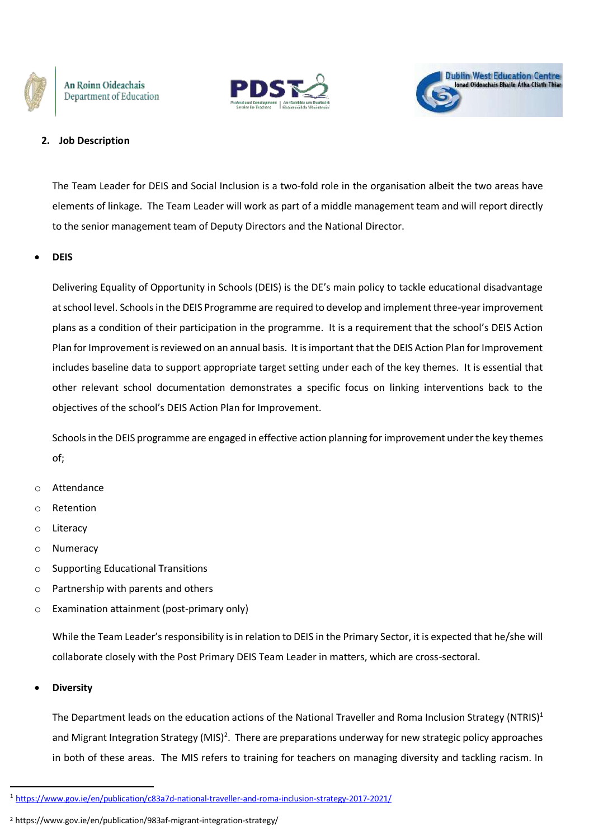





### **2. Job Description**

The Team Leader for DEIS and Social Inclusion is a two-fold role in the organisation albeit the two areas have elements of linkage. The Team Leader will work as part of a middle management team and will report directly to the senior management team of Deputy Directors and the National Director.

#### **DEIS**

Delivering Equality of Opportunity in Schools (DEIS) is the DE's main policy to tackle educational disadvantage at school level. Schools in the DEIS Programme are required to develop and implement three-year improvement plans as a condition of their participation in the programme. It is a requirement that the school's DEIS Action Plan for Improvement is reviewed on an annual basis. It is important that the DEIS Action Plan for Improvement includes baseline data to support appropriate target setting under each of the key themes. It is essential that other relevant school documentation demonstrates a specific focus on linking interventions back to the objectives of the school's DEIS Action Plan for Improvement.

Schools in the DEIS programme are engaged in effective action planning for improvement under the key themes of;

- o Attendance
- o Retention
- o Literacy
- o Numeracy
- o Supporting Educational Transitions
- o Partnership with parents and others
- o Examination attainment (post-primary only)

While the Team Leader's responsibility is in relation to DEIS in the Primary Sector, it is expected that he/she will collaborate closely with the Post Primary DEIS Team Leader in matters, which are cross-sectoral.

#### **Diversity**

**.** 

The Department leads on the education actions of the National Traveller and Roma Inclusion Strategy (NTRIS)<sup>1</sup> and Migrant Integration Strategy (MIS)<sup>2</sup>. There are preparations underway for new strategic policy approaches in both of these areas. The MIS refers to training for teachers on managing diversity and tackling racism. In

<sup>1</sup> <https://www.gov.ie/en/publication/c83a7d-national-traveller-and-roma-inclusion-strategy-2017-2021/>

<sup>2</sup> https://www.gov.ie/en/publication/983af-migrant-integration-strategy/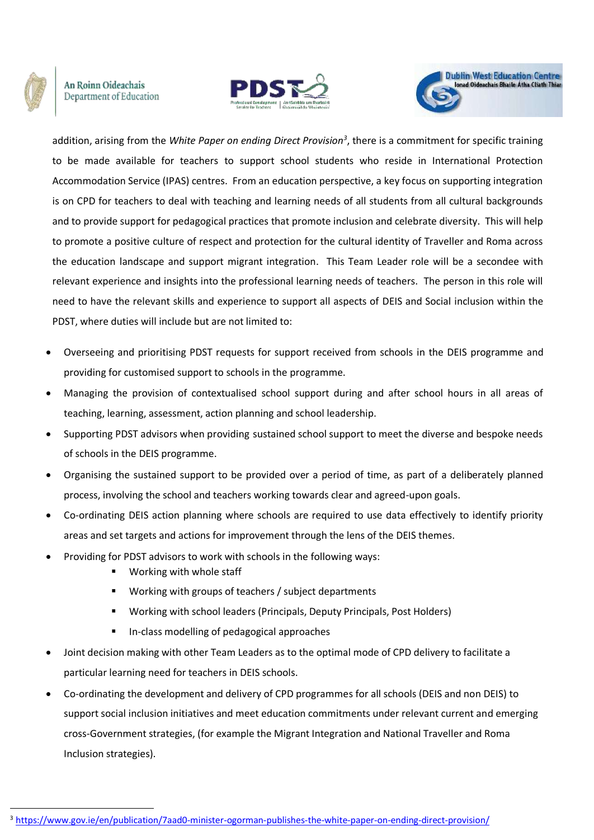

**.** 

An Roinn Oideachais Department of Education





addition, arising from the *White Paper on ending Direct Provision<sup>3</sup>* , there is a commitment for specific training to be made available for teachers to support school students who reside in International Protection Accommodation Service (IPAS) centres. From an education perspective, a key focus on supporting integration is on CPD for teachers to deal with teaching and learning needs of all students from all cultural backgrounds and to provide support for pedagogical practices that promote inclusion and celebrate diversity. This will help to promote a positive culture of respect and protection for the cultural identity of Traveller and Roma across the education landscape and support migrant integration. This Team Leader role will be a secondee with relevant experience and insights into the professional learning needs of teachers. The person in this role will need to have the relevant skills and experience to support all aspects of DEIS and Social inclusion within the PDST, where duties will include but are not limited to:

- Overseeing and prioritising PDST requests for support received from schools in the DEIS programme and providing for customised support to schools in the programme.
- Managing the provision of contextualised school support during and after school hours in all areas of teaching, learning, assessment, action planning and school leadership.
- Supporting PDST advisors when providing sustained school support to meet the diverse and bespoke needs of schools in the DEIS programme.
- Organising the sustained support to be provided over a period of time, as part of a deliberately planned process, involving the school and teachers working towards clear and agreed-upon goals.
- Co-ordinating DEIS action planning where schools are required to use data effectively to identify priority areas and set targets and actions for improvement through the lens of the DEIS themes.
- Providing for PDST advisors to work with schools in the following ways:
	- **Working with whole staff**
	- Working with groups of teachers / subject departments
	- Working with school leaders (Principals, Deputy Principals, Post Holders)
	- **In-class modelling of pedagogical approaches**
- Joint decision making with other Team Leaders as to the optimal mode of CPD delivery to facilitate a particular learning need for teachers in DEIS schools.
- Co-ordinating the development and delivery of CPD programmes for all schools (DEIS and non DEIS) to support social inclusion initiatives and meet education commitments under relevant current and emerging cross-Government strategies, (for example the Migrant Integration and National Traveller and Roma Inclusion strategies).

<sup>3</sup> <https://www.gov.ie/en/publication/7aad0-minister-ogorman-publishes-the-white-paper-on-ending-direct-provision/>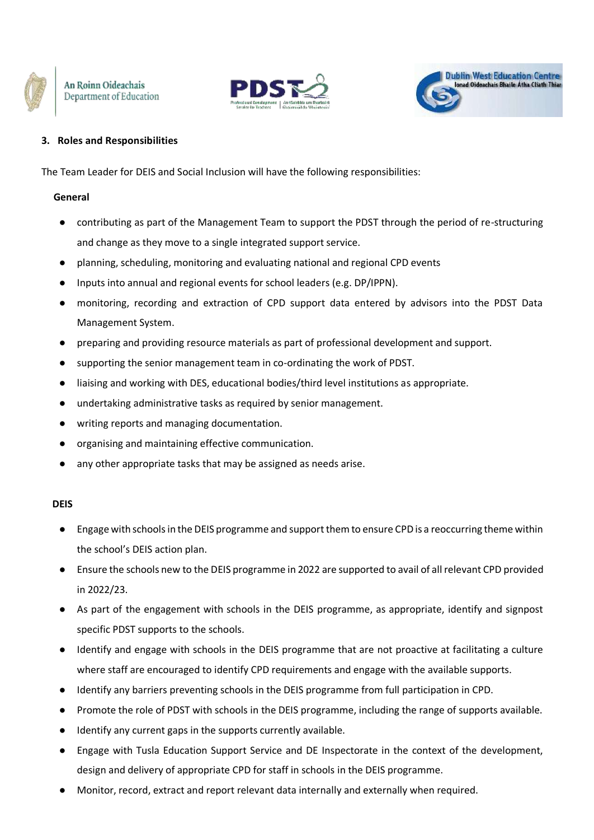





# **3. Roles and Responsibilities**

The Team Leader for DEIS and Social Inclusion will have the following responsibilities:

### **General**

- contributing as part of the Management Team to support the PDST through the period of re-structuring and change as they move to a single integrated support service.
- planning, scheduling, monitoring and evaluating national and regional CPD events
- Inputs into annual and regional events for school leaders (e.g. DP/IPPN).
- monitoring, recording and extraction of CPD support data entered by advisors into the PDST Data Management System.
- preparing and providing resource materials as part of professional development and support.
- supporting the senior management team in co-ordinating the work of PDST.
- liaising and working with DES, educational bodies/third level institutions as appropriate.
- undertaking administrative tasks as required by senior management.
- writing reports and managing documentation.
- organising and maintaining effective communication.
- any other appropriate tasks that may be assigned as needs arise.

# **DEIS**

- Engage with schoolsin the DEIS programme and support them to ensure CPD is a reoccurring theme within the school's DEIS action plan.
- Ensure the schools new to the DEIS programme in 2022 are supported to avail of all relevant CPD provided in 2022/23.
- As part of the engagement with schools in the DEIS programme, as appropriate, identify and signpost specific PDST supports to the schools.
- Identify and engage with schools in the DEIS programme that are not proactive at facilitating a culture where staff are encouraged to identify CPD requirements and engage with the available supports.
- Identify any barriers preventing schools in the DEIS programme from full participation in CPD.
- Promote the role of PDST with schools in the DEIS programme, including the range of supports available.
- Identify any current gaps in the supports currently available.
- Engage with Tusla Education Support Service and DE Inspectorate in the context of the development, design and delivery of appropriate CPD for staff in schools in the DEIS programme.
- Monitor, record, extract and report relevant data internally and externally when required.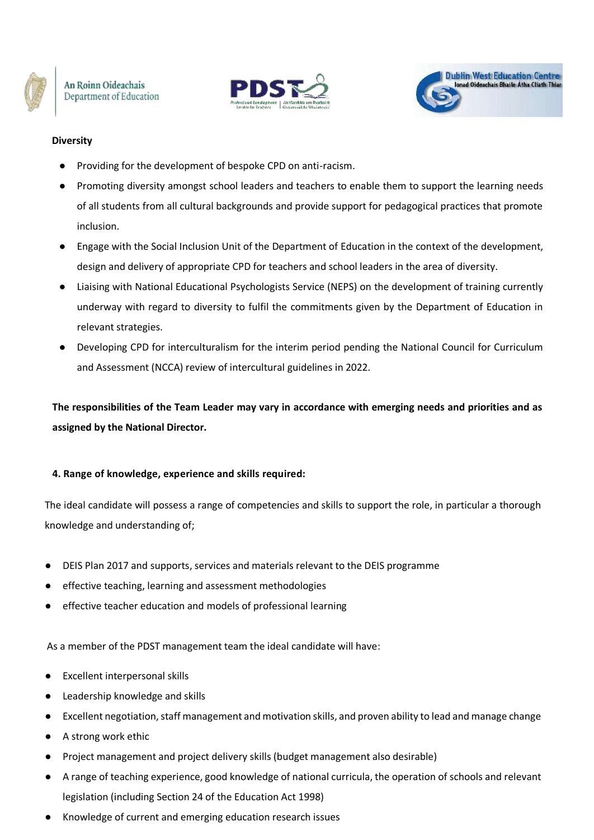





## **Diversity**

- Providing for the development of bespoke CPD on anti-racism.
- Promoting diversity amongst school leaders and teachers to enable them to support the learning needs of all students from all cultural backgrounds and provide support for pedagogical practices that promote inclusion.
- Engage with the Social Inclusion Unit of the Department of Education in the context of the development, design and delivery of appropriate CPD for teachers and school leaders in the area of diversity.
- Liaising with National Educational Psychologists Service (NEPS) on the development of training currently underway with regard to diversity to fulfil the commitments given by the Department of Education in relevant strategies.
- Developing CPD for interculturalism for the interim period pending the National Council for Curriculum and Assessment (NCCA) review of intercultural guidelines in 2022.

**The responsibilities of the Team Leader may vary in accordance with emerging needs and priorities and as assigned by the National Director.**

#### **4. Range of knowledge, experience and skills required:**

The ideal candidate will possess a range of competencies and skills to support the role, in particular a thorough knowledge and understanding of;

- DEIS Plan 2017 and supports, services and materials relevant to the DEIS programme
- effective teaching, learning and assessment methodologies
- effective teacher education and models of professional learning

As a member of the PDST management team the ideal candidate will have:

- **Excellent interpersonal skills**
- Leadership knowledge and skills
- Excellent negotiation, staff management and motivation skills, and proven ability to lead and manage change
- A strong work ethic
- Project management and project delivery skills (budget management also desirable)
- A range of teaching experience, good knowledge of national curricula, the operation of schools and relevant legislation (including Section 24 of the Education Act 1998)
- Knowledge of current and emerging education research issues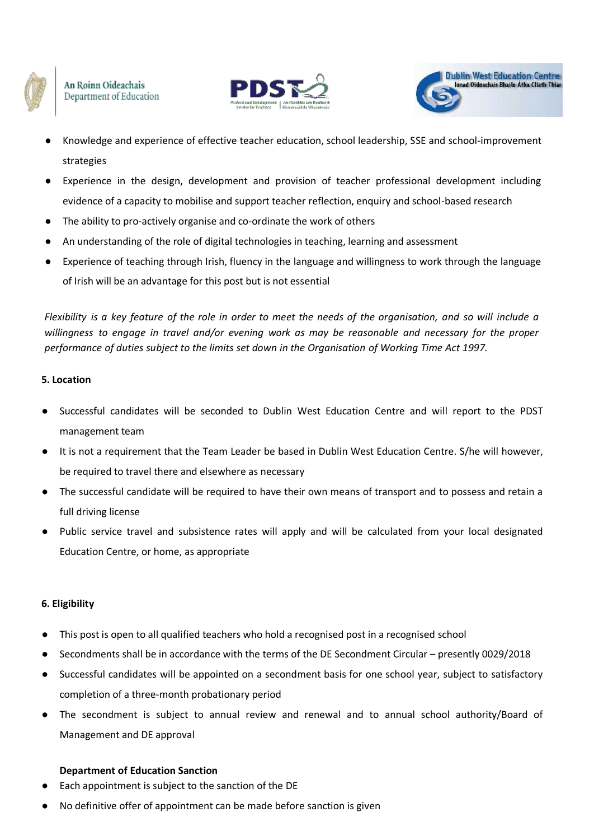





- Knowledge and experience of effective teacher education, school leadership, SSE and school-improvement strategies
- Experience in the design, development and provision of teacher professional development including evidence of a capacity to mobilise and support teacher reflection, enquiry and school-based research
- The ability to pro-actively organise and co-ordinate the work of others
- An understanding of the role of digital technologies in teaching, learning and assessment
- Experience of teaching through Irish, fluency in the language and willingness to work through the language of Irish will be an advantage for this post but is not essential

Flexibility is a key feature of the role in order to meet the needs of the organisation, and so will include a *willingness to engage in travel and/or evening work as may be reasonable and necessary for the proper performance of duties subject to the limits set down in the Organisation of Working Time Act 1997.*

### **5. Location**

- Successful candidates will be seconded to Dublin West Education Centre and will report to the PDST management team
- It is not a requirement that the Team Leader be based in Dublin West Education Centre. S/he will however, be required to travel there and elsewhere as necessary
- The successful candidate will be required to have their own means of transport and to possess and retain a full driving license
- Public service travel and subsistence rates will apply and will be calculated from your local designated Education Centre, or home, as appropriate

# **6. Eligibility**

- This post is open to all qualified teachers who hold a recognised post in a recognised school
- Secondments shall be in accordance with the terms of the DE Secondment Circular presently 0029/2018
- Successful candidates will be appointed on a secondment basis for one school year, subject to satisfactory completion of a three‐month probationary period
- The secondment is subject to annual review and renewal and to annual school authority/Board of Management and DE approval

# **Department of Education Sanction**

- Each appointment is subject to the sanction of the DE
- No definitive offer of appointment can be made before sanction is given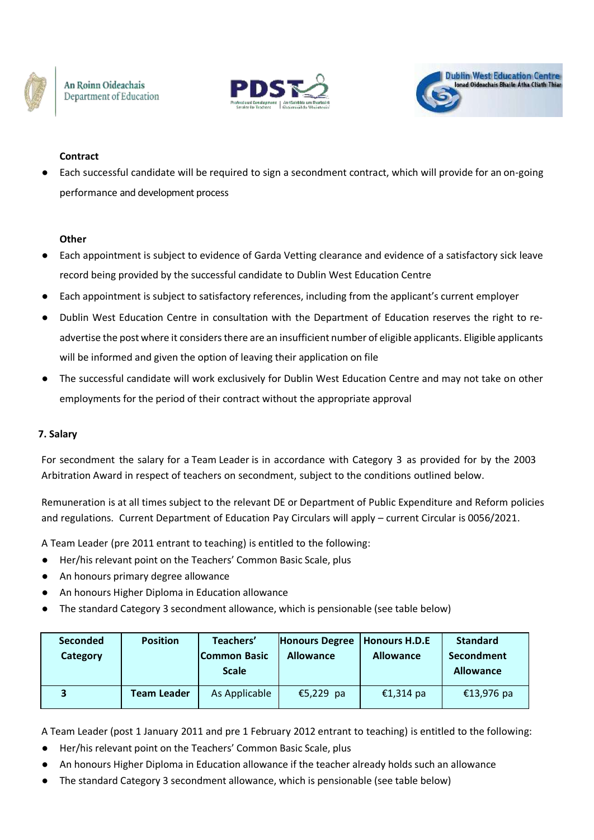





# **Contract**

Each successful candidate will be required to sign a secondment contract, which will provide for an on-going performance and development process

# **Other**

- Each appointment is subject to evidence of Garda Vetting clearance and evidence of a satisfactory sick leave record being provided by the successful candidate to Dublin West Education Centre
- Each appointment is subject to satisfactory references, including from the applicant's current employer
- Dublin West Education Centre in consultation with the Department of Education reserves the right to readvertise the post where it considers there are an insufficient number of eligible applicants. Eligible applicants will be informed and given the option of leaving their application on file
- The successful candidate will work exclusively for Dublin West Education Centre and may not take on other employments for the period of their contract without the appropriate approval

# **7. Salary**

For secondment the salary for a Team Leader is in accordance with Category 3 as provided for by the 2003 Arbitration Award in respect of teachers on secondment, subject to the conditions outlined below.

Remuneration is at all times subject to the relevant DE or Department of Public Expenditure and Reform policies and regulations. Current Department of Education Pay Circulars will apply – current Circular is 0056/2021.

A Team Leader (pre 2011 entrant to teaching) is entitled to the following:

- Her/his relevant point on the Teachers' Common Basic Scale, plus
- An honours primary degree allowance
- An honours Higher Diploma in Education allowance
- The standard Category 3 secondment allowance, which is pensionable (see table below)

| <b>Seconded</b><br>Category | <b>Position</b>    | Teachers'<br>lCommon Basic<br><b>Scale</b> | <b>Honours Degree</b><br><b>Allowance</b> | Honours H.D.E<br><b>Allowance</b> | <b>Standard</b><br>Secondment<br><b>Allowance</b> |
|-----------------------------|--------------------|--------------------------------------------|-------------------------------------------|-----------------------------------|---------------------------------------------------|
|                             | <b>Team Leader</b> | As Applicable                              | €5,229 pa                                 | €1,314 pa                         | €13,976 pa                                        |

A Team Leader (post 1 January 2011 and pre 1 February 2012 entrant to teaching) is entitled to the following:

- Her/his relevant point on the Teachers' Common Basic Scale, plus
- An honours Higher Diploma in Education allowance if the teacher already holds such an allowance
- The standard Category 3 secondment allowance, which is pensionable (see table below)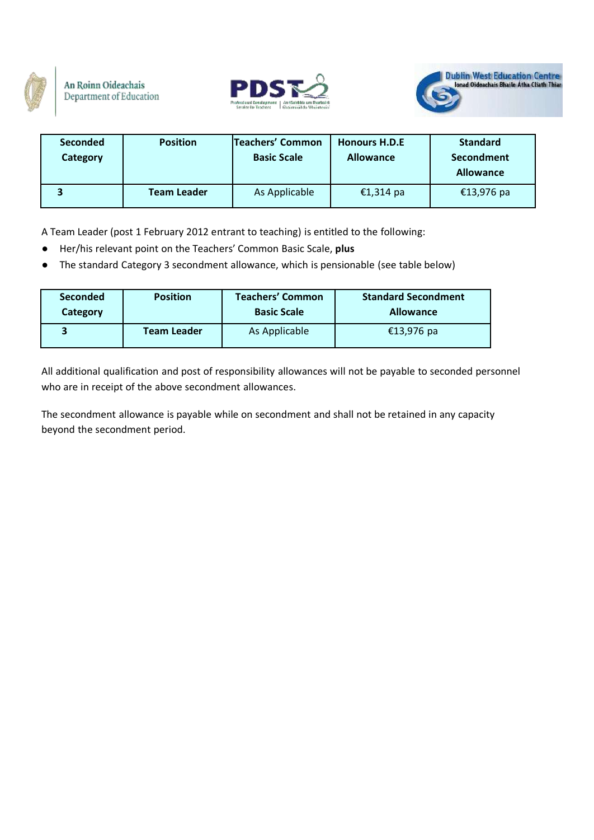





| <b>Seconded</b><br>Category | <b>Position</b>    | Teachers' Common<br><b>Basic Scale</b> | <b>Honours H.D.E</b><br><b>Allowance</b> | <b>Standard</b><br>Secondment<br><b>Allowance</b> |
|-----------------------------|--------------------|----------------------------------------|------------------------------------------|---------------------------------------------------|
|                             | <b>Team Leader</b> | As Applicable                          | €1,314 pa                                | €13,976 pa                                        |

A Team Leader (post 1 February 2012 entrant to teaching) is entitled to the following:

- Her/his relevant point on the Teachers' Common Basic Scale, **plus**
- The standard Category 3 secondment allowance, which is pensionable (see table below)

| <b>Seconded</b> | <b>Position</b>    | <b>Teachers' Common</b> | <b>Standard Secondment</b> |
|-----------------|--------------------|-------------------------|----------------------------|
| Category        |                    | <b>Basic Scale</b>      | <b>Allowance</b>           |
|                 | <b>Team Leader</b> | As Applicable           | €13,976 pa                 |

All additional qualification and post of responsibility allowances will not be payable to seconded personnel who are in receipt of the above secondment allowances.

The secondment allowance is payable while on secondment and shall not be retained in any capacity beyond the secondment period.